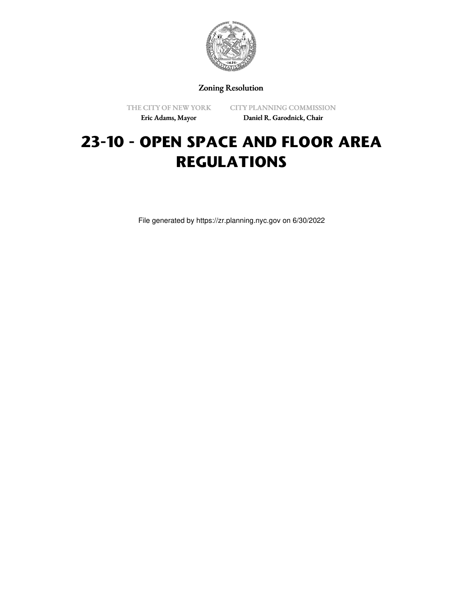

Zoning Resolution

THE CITY OF NEW YORK Eric Adams, Mayor

CITY PLANNING COMMISSION Daniel R. Garodnick, Chair

# **23-10 - OPEN SPACE AND FLOOR AREA REGULATIONS**

File generated by https://zr.planning.nyc.gov on 6/30/2022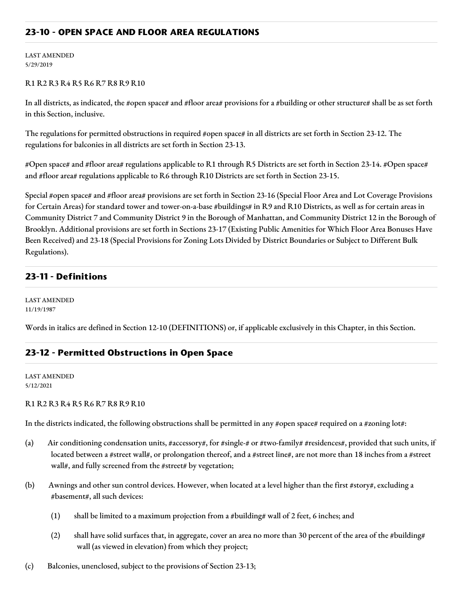## **23-10 - OPEN SPACE AND FLOOR AREA REGULATIONS**

LAST AMENDED 5/29/2019

#### R1 R2 R3 R4 R5 R6 R7 R8 R9 R10

In all districts, as indicated, the #open space# and #floor area# provisions for a #building or other structure# shall be as set forth in this Section, inclusive.

The regulations for permitted obstructions in required #open space# in all districts are set forth in Section 23-12. The regulations for balconies in all districts are set forth in Section 23-13.

#Open space# and #floor area# regulations applicable to R1 through R5 Districts are set forth in Section 23-14. #Open space# and #floor area# regulations applicable to R6 through R10 Districts are set forth in Section 23-15.

Special #open space# and #floor area# provisions are set forth in Section 23-16 (Special Floor Area and Lot Coverage Provisions for Certain Areas) for standard tower and tower-on-a-base #buildings# in R9 and R10 Districts, as well as for certain areas in Community District 7 and Community District 9 in the Borough of Manhattan, and Community District 12 in the Borough of Brooklyn. Additional provisions are set forth in Sections 23-17 (Existing Public Amenities for Which Floor Area Bonuses Have Been Received) and 23-18 (Special Provisions for Zoning Lots Divided by District Boundaries or Subject to Different Bulk Regulations).

## **23-11 - Definitions**

LAST AMENDED 11/19/1987

Words in italics are defined in Section 12-10 (DEFINITIONS) or, if applicable exclusively in this Chapter, in this Section.

## **23-12 - Permitted Obstructions in Open Space**

LAST AMENDED 5/12/2021

R1 R2 R3 R4 R5 R6 R7 R8 R9 R10

In the districts indicated, the following obstructions shall be permitted in any #open space# required on a #zoning lot#:

- (a) Air conditioning condensation units, #accessory#, for #single-# or #two-family# #residences#, provided that such units, if located between a #street wall#, or prolongation thereof, and a #street line#, are not more than 18 inches from a #street wall#, and fully screened from the #street# by vegetation;
- (b) Awnings and other sun control devices. However, when located at a level higher than the first #story#, excluding a #basement#, all such devices:
	- (1) shall be limited to a maximum projection from a #building# wall of 2 feet, 6 inches; and
	- (2) shall have solid surfaces that, in aggregate, cover an area no more than 30 percent of the area of the #building# wall (as viewed in elevation) from which they project;
- (c) Balconies, unenclosed, subject to the provisions of Section 23-13;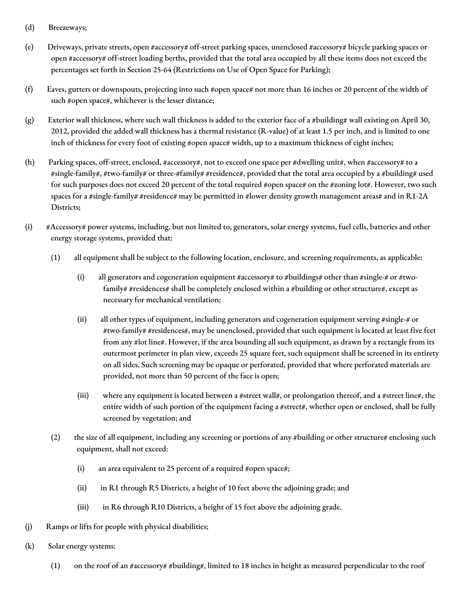- (d) Breezeways;
- (e) Driveways, private streets, open #accessory# off-street parking spaces, unenclosed #accessory# bicycle parking spaces or open #accessory# off-street loading berths, provided that the total area occupied by all these items does not exceed the percentages set forth in Section 25-64 (Restrictions on Use of Open Space for Parking);
- (f) Eaves, gutters or downspouts, projecting into such #open space# not more than 16 inches or 20 percent of the width of such #open space#, whichever is the lesser distance;
- (g) Exterior wall thickness, where such wall thickness is added to the exterior face of a #building# wall existing on April 30, 2012, provided the added wall thickness has a thermal resistance (R-value) of at least 1.5 per inch, and is limited to one inch of thickness for every foot of existing #open space# width, up to a maximum thickness of eight inches;
- (h) Parking spaces, off-street, enclosed, #accessory#, not to exceed one space per #dwelling unit#, when #accessory# to a #single-family#, #two-family# or three-#family# #residence#, provided that the total area occupied by a #building# used for such purposes does not exceed 20 percent of the total required #open space# on the #zoning lot#. However, two such spaces for a #single-family# #residence# may be permitted in #lower density growth management areas# and in R1-2A Districts;
- (i) #Accessory# power systems, including, but not limited to, generators, solar energy systems, fuel cells, batteries and other energy storage systems, provided that:
	- (1) all equipment shall be subject to the following location, enclosure, and screening requirements, as applicable:
		- (i) all generators and cogeneration equipment #accessory# to #buildings# other than #single-# or #twofamily# #residences# shall be completely enclosed within a #building or other structure#, except as necessary for mechanical ventilation;
		- (ii) all other types of equipment, including generators and cogeneration equipment serving #single-# or #two-family# #residences#, may be unenclosed, provided that such equipment is located at least five feet from any #lot line#. However, if the area bounding all such equipment, as drawn by a rectangle from its outermost perimeter in plan view, exceeds 25 square feet, such equipment shall be screened in its entirety on all sides. Such screening may be opaque or perforated, provided that where perforated materials are provided, not more than 50 percent of the face is open;
		- (iii) where any equipment is located between a #street wall#, or prolongation thereof, and a #street line#, the entire width of such portion of the equipment facing a #street#, whether open or enclosed, shall be fully screened by vegetation; and
	- (2) the size of all equipment, including any screening or portions of any #building or other structure# enclosing such equipment, shall not exceed:
		- (i) an area equivalent to 25 percent of a required #open space#;
		- (ii) in R1 through R5 Districts, a height of 10 feet above the adjoining grade; and
		- (iii) in R6 through R10 Districts, a height of 15 feet above the adjoining grade.
- (j) Ramps or lifts for people with physical disabilities;
- (k) Solar energy systems:
	- (1) on the roof of an #accessory# #building#, limited to 18 inches in height as measured perpendicular to the roof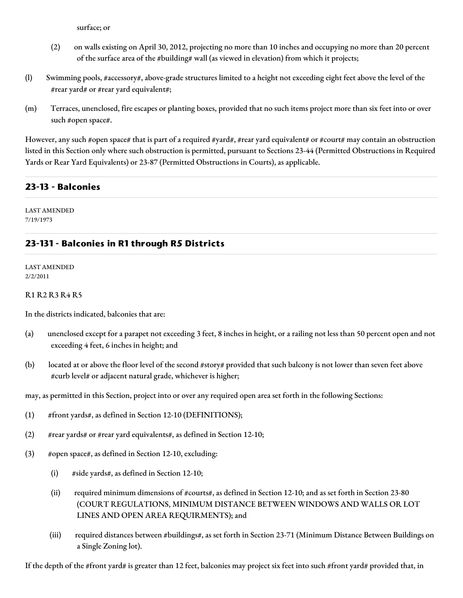surface; or

- (2) on walls existing on April 30, 2012, projecting no more than 10 inches and occupying no more than 20 percent of the surface area of the #building# wall (as viewed in elevation) from which it projects;
- (l) Swimming pools, #accessory#, above-grade structures limited to a height not exceeding eight feet above the level of the #rear yard# or #rear yard equivalent#;
- (m) Terraces, unenclosed, fire escapes or planting boxes, provided that no such items project more than six feet into or over such #open space#.

However, any such #open space# that is part of a required #yard#, #rear yard equivalent# or #court# may contain an obstruction listed in this Section only where such obstruction is permitted, pursuant to Sections 23-44 (Permitted Obstructions in Required Yards or Rear Yard Equivalents) or 23-87 (Permitted Obstructions in Courts), as applicable.

## **23-13 - Balconies**

LAST AMENDED 7/19/1973

## **23-131 - Balconies in R1 through R5 Districts**

LAST AMENDED 2/2/2011

#### R1 R2 R3 R4 R5

In the districts indicated, balconies that are:

- (a) unenclosed except for a parapet not exceeding 3 feet, 8 inches in height, or a railing not less than 50 percent open and not exceeding 4 feet, 6 inches in height; and
- (b) located at or above the floor level of the second #story# provided that such balcony is not lower than seven feet above #curb level# or adjacent natural grade, whichever is higher;

may, as permitted in this Section, project into or over any required open area set forth in the following Sections:

- (1) #front yards#, as defined in Section 12-10 (DEFINITIONS);
- (2) #rear yards# or #rear yard equivalents#, as defined in Section 12-10;
- (3) #open space#, as defined in Section 12-10, excluding:
	- (i) #side yards#, as defined in Section 12-10;
	- (ii) required minimum dimensions of #courts#, as defined in Section 12-10; and as set forth in Section 23-80 (COURT REGULATIONS, MINIMUM DISTANCE BETWEEN WINDOWS AND WALLS OR LOT LINES AND OPEN AREA REQUIRMENTS); and
	- (iii) required distances between #buildings#, as set forth in Section 23-71 (Minimum Distance Between Buildings on a Single Zoning lot).

If the depth of the #front yard# is greater than 12 feet, balconies may project six feet into such #front yard# provided that, in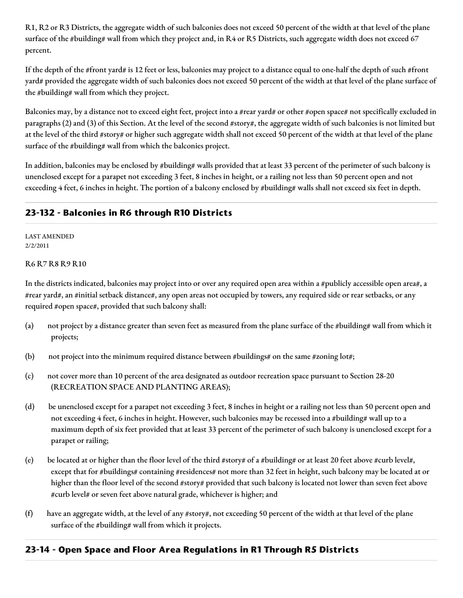R1, R2 or R3 Districts, the aggregate width of such balconies does not exceed 50 percent of the width at that level of the plane surface of the #building# wall from which they project and, in R4 or R5 Districts, such aggregate width does not exceed 67 percent.

If the depth of the #front yard# is 12 feet or less, balconies may project to a distance equal to one-half the depth of such #front yard# provided the aggregate width of such balconies does not exceed 50 percent of the width at that level of the plane surface of the #building# wall from which they project.

Balconies may, by a distance not to exceed eight feet, project into a #rear yard# or other #open space# not specifically excluded in paragraphs (2) and (3) of this Section. At the level of the second #story#, the aggregate width of such balconies is not limited but at the level of the third #story# or higher such aggregate width shall not exceed 50 percent of the width at that level of the plane surface of the #building# wall from which the balconies project.

In addition, balconies may be enclosed by #building# walls provided that at least 33 percent of the perimeter of such balcony is unenclosed except for a parapet not exceeding 3 feet, 8 inches in height, or a railing not less than 50 percent open and not exceeding 4 feet, 6 inches in height. The portion of a balcony enclosed by #building# walls shall not exceed six feet in depth.

## **23-132 - Balconies in R6 through R10 Districts**

LAST AMENDED 2/2/2011

#### R6 R7 R8 R9 R10

In the districts indicated, balconies may project into or over any required open area within a #publicly accessible open area#, a #rear yard#, an #initial setback distance#, any open areas not occupied by towers, any required side or rear setbacks, or any required #open space#, provided that such balcony shall:

- (a) not project by a distance greater than seven feet as measured from the plane surface of the #building# wall from which it projects;
- (b) not project into the minimum required distance between #buildings# on the same #zoning lot#;
- (c) not cover more than 10 percent of the area designated as outdoor recreation space pursuant to Section 28-20 (RECREATION SPACE AND PLANTING AREAS);
- (d) be unenclosed except for a parapet not exceeding 3 feet, 8 inches in height or a railing not less than 50 percent open and not exceeding 4 feet, 6 inches in height. However, such balconies may be recessed into a #building# wall up to a maximum depth of six feet provided that at least 33 percent of the perimeter of such balcony is unenclosed except for a parapet or railing;
- (e) be located at or higher than the floor level of the third #story# of a #building# or at least 20 feet above #curb level#, except that for #buildings# containing #residences# not more than 32 feet in height, such balcony may be located at or higher than the floor level of the second #story# provided that such balcony is located not lower than seven feet above #curb level# or seven feet above natural grade, whichever is higher; and
- (f) have an aggregate width, at the level of any #story#, not exceeding 50 percent of the width at that level of the plane surface of the #building# wall from which it projects.

## **23-14 - Open Space and Floor Area Regulations in R1 Through R5 Districts**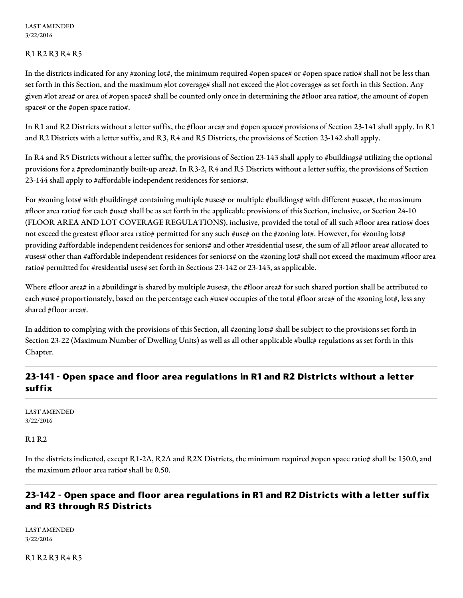#### R1 R2 R3 R4 R5

In the districts indicated for any #zoning lot#, the minimum required #open space# or #open space ratio# shall not be less than set forth in this Section, and the maximum #lot coverage# shall not exceed the #lot coverage# as set forth in this Section. Any given #lot area# or area of #open space# shall be counted only once in determining the #floor area ratio#, the amount of #open space# or the #open space ratio#.

In R1 and R2 Districts without a letter suffix, the #floor area# and #open space# provisions of Section 23-141 shall apply. In R1 and R2 Districts with a letter suffix, and R3, R4 and R5 Districts, the provisions of Section 23-142 shall apply.

In R4 and R5 Districts without a letter suffix, the provisions of Section 23-143 shall apply to #buildings# utilizing the optional provisions for a #predominantly built-up area#. In R3-2, R4 and R5 Districts without a letter suffix, the provisions of Section 23-144 shall apply to #affordable independent residences for seniors#.

For #zoning lots# with #buildings# containing multiple #uses# or multiple #buildings# with different #uses#, the maximum #floor area ratio# for each #use# shall be as set forth in the applicable provisions of this Section, inclusive, or Section 24-10 (FLOOR AREA AND LOT COVERAGE REGULATIONS), inclusive, provided the total of all such #floor area ratios# does not exceed the greatest #floor area ratio# permitted for any such #use# on the #zoning lot#. However, for #zoning lots# providing #affordable independent residences for seniors# and other #residential uses#, the sum of all #floor area# allocated to #uses# other than #affordable independent residences for seniors# on the #zoning lot# shall not exceed the maximum #floor area ratio# permitted for #residential uses# set forth in Sections 23-142 or 23-143, as applicable.

Where #floor area# in a #building# is shared by multiple #uses#, the #floor area# for such shared portion shall be attributed to each #use# proportionately, based on the percentage each #use# occupies of the total #floor area# of the #zoning lot#, less any shared #floor area#.

In addition to complying with the provisions of this Section, all #zoning lots# shall be subject to the provisions set forth in Section 23-22 (Maximum Number of Dwelling Units) as well as all other applicable #bulk# regulations as set forth in this Chapter.

# **23-141 - Open space and floor area regulations in R1 and R2 Districts without a letter suffix**

LAST AMENDED 3/22/2016

R1 R2

In the districts indicated, except R1-2A, R2A and R2X Districts, the minimum required #open space ratio# shall be 150.0, and the maximum #floor area ratio# shall be 0.50.

# **23-142 - Open space and floor area regulations in R1 and R2 Districts with a letter suffix and R3 through R5 Districts**

LAST AMENDED 3/22/2016

R1 R2 R3 R4 R5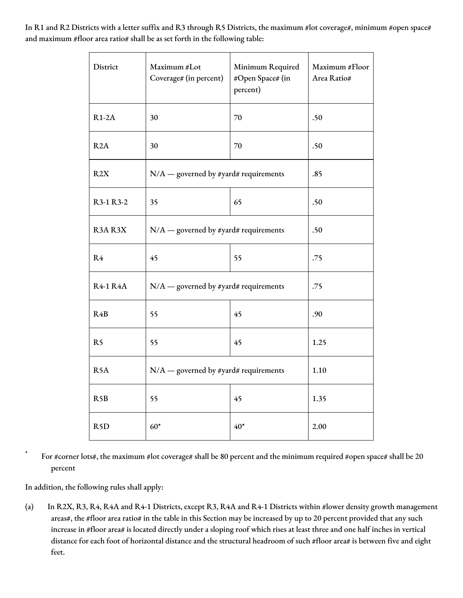In R1 and R2 Districts with a letter suffix and R3 through R5 Districts, the maximum #lot coverage#, minimum #open space# and maximum #floor area ratio# shall be as set forth in the following table:

| District         | Maximum #Lot<br>Coverage# (in percent)  | Minimum Required<br>#Open Space# (in<br>percent) | Maximum #Floor<br>Area Ratio# |
|------------------|-----------------------------------------|--------------------------------------------------|-------------------------------|
| $R1-2A$          | 30                                      | 70                                               | .50                           |
| R2A              | 30                                      | 70                                               | .50                           |
| R2X              | $N/A$ — governed by #yard# requirements |                                                  | .85                           |
| R3-1 R3-2        | 35                                      | 65                                               | .50                           |
| R3AR3X           | $N/A$ — governed by #yard# requirements | .50                                              |                               |
| R <sub>4</sub>   | 45                                      | 55                                               | .75                           |
| <b>R4-1 R4A</b>  | $N/A$ — governed by #yard# requirements | .75                                              |                               |
| R4B              | 55                                      | 45                                               | .90                           |
| R <sub>5</sub>   | 55                                      | 45                                               | 1.25                          |
| R <sub>5</sub> A | $N/A$ — governed by #yard# requirements | 1.10                                             |                               |
| R5B              | 55                                      | 45                                               | 1.35                          |
| R <sub>5</sub> D | $60*$                                   | $40*$                                            | 2.00                          |

For #corner lots#, the maximum #lot coverage# shall be 80 percent and the minimum required #open space# shall be 20 percent

In addition, the following rules shall apply:

(a) In R2X, R3, R4, R4A and R4-1 Districts, except R3, R4A and R4-1 Districts within #lower density growth management areas#, the #floor area ratio# in the table in this Section may be increased by up to 20 percent provided that any such increase in #floor area# is located directly under a sloping roof which rises at least three and one half inches in vertical distance for each foot of horizontal distance and the structural headroom of such #floor area# is between five and eight feet.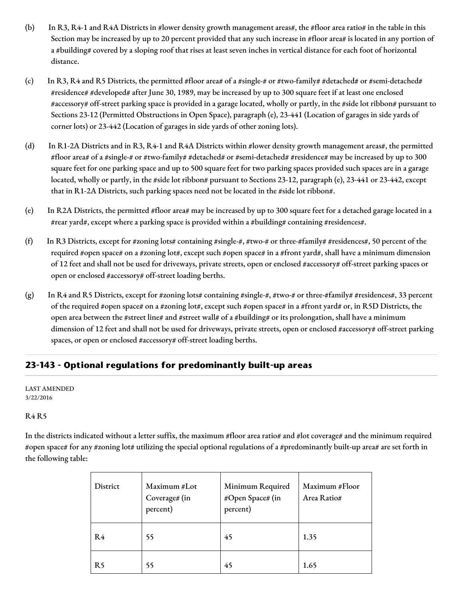- (b) In R3, R4-1 and R4A Districts in #lower density growth management areas#, the #floor area ratio# in the table in this Section may be increased by up to 20 percent provided that any such increase in #floor area# is located in any portion of a #building# covered by a sloping roof that rises at least seven inches in vertical distance for each foot of horizontal distance.
- (c) In R3, R4 and R5 Districts, the permitted #floor area# of a #single-# or #two-family# #detached# or #semi-detached# #residence# #developed# after June 30, 1989, may be increased by up to 300 square feet if at least one enclosed #accessory# off-street parking space is provided in a garage located, wholly or partly, in the #side lot ribbon# pursuant to Sections 23-12 (Permitted Obstructions in Open Space), paragraph (e), 23-441 (Location of garages in side yards of corner lots) or 23-442 (Location of garages in side yards of other zoning lots).
- (d) In R1-2A Districts and in R3, R4-1 and R4A Districts within #lower density growth management areas#, the permitted #floor area# of a #single-# or #two-family# #detached# or #semi-detached# #residence# may be increased by up to 300 square feet for one parking space and up to 500 square feet for two parking spaces provided such spaces are in a garage located, wholly or partly, in the #side lot ribbon# pursuant to Sections 23-12, paragraph (e), 23-441 or 23-442, except that in R1-2A Districts, such parking spaces need not be located in the #side lot ribbon#.
- (e) In R2A Districts, the permitted #floor area# may be increased by up to 300 square feet for a detached garage located in a #rear yard#, except where a parking space is provided within a #building# containing #residences#.
- (f) In R3 Districts, except for #zoning lots# containing #single-#, #two-# or three-#family# #residences#, 50 percent of the required #open space# on a #zoning lot#, except such #open space# in a #front yard#, shall have a minimum dimension of 12 feet and shall not be used for driveways, private streets, open or enclosed #accessory# off-street parking spaces or open or enclosed #accessory# off-street loading berths.
- (g) In R4 and R5 Districts, except for #zoning lots# containing #single-#, #two-# or three-#family# #residences#, 33 percent of the required #open space# on a #zoning lot#, except such #open space# in a #front yard# or, in R5D Districts, the open area between the #street line# and #street wall# of a #building# or its prolongation, shall have a minimum dimension of 12 feet and shall not be used for driveways, private streets, open or enclosed #accessory# off-street parking spaces, or open or enclosed #accessory# off-street loading berths.

# **23-143 - Optional regulations for predominantly built-up areas**

LAST AMENDED 3/22/2016

## R4 R5

In the districts indicated without a letter suffix, the maximum #floor area ratio# and #lot coverage# and the minimum required #open space# for any #zoning lot# utilizing the special optional regulations of a #predominantly built-up area# are set forth in the following table:

| District       | Maximum #Lot<br>Coverage# (in<br>percent) | Minimum Required<br>#Open Space# (in<br>percent) | Maximum #Floor<br>Area Ratio# |
|----------------|-------------------------------------------|--------------------------------------------------|-------------------------------|
| R <sub>4</sub> | 55                                        | 45                                               | 1.35                          |
| R <sub>5</sub> | 55                                        | 45                                               | 1.65                          |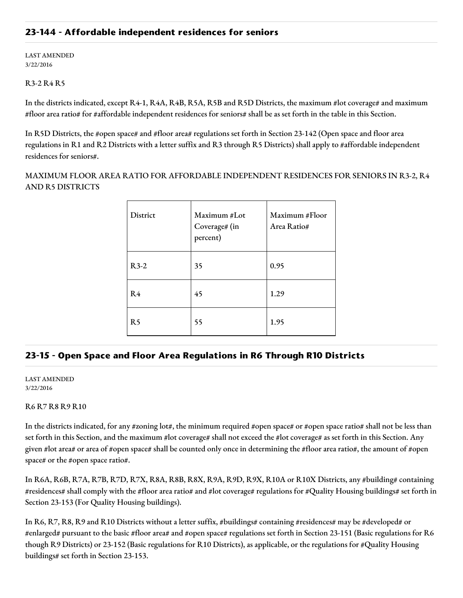## **23-144 - Affordable independent residences for seniors**

LAST AMENDED 3/22/2016

#### R3-2 R4 R5

In the districts indicated, except R4-1, R4A, R4B, R5A, R5B and R5D Districts, the maximum #lot coverage# and maximum #floor area ratio# for #affordable independent residences for seniors# shall be as set forth in the table in this Section.

In R5D Districts, the #open space# and #floor area# regulations set forth in Section 23-142 (Open space and floor area regulations in R1 and R2 Districts with a letter suffix and R3 through R5 Districts) shall apply to #affordable independent residences for seniors#.

MAXIMUM FLOOR AREA RATIO FOR AFFORDABLE INDEPENDENT RESIDENCES FOR SENIORS IN R3-2, R4 AND R5 DISTRICTS

| District       | Maximum #Lot<br>Coverage# (in<br>percent) | Maximum #Floor<br>Area Ratio# |
|----------------|-------------------------------------------|-------------------------------|
| $R3-2$         | 35                                        | 0.95                          |
| R <sub>4</sub> | 45                                        | 1.29                          |
| R <sub>5</sub> | 55                                        | 1.95                          |

## **23-15 - Open Space and Floor Area Regulations in R6 Through R10 Districts**

LAST AMENDED 3/22/2016

#### R6 R7 R8 R9 R10

In the districts indicated, for any #zoning lot#, the minimum required #open space# or #open space ratio# shall not be less than set forth in this Section, and the maximum #lot coverage# shall not exceed the #lot coverage# as set forth in this Section. Any given #lot area# or area of #open space# shall be counted only once in determining the #floor area ratio#, the amount of #open space# or the #open space ratio#.

In R6A, R6B, R7A, R7B, R7D, R7X, R8A, R8B, R8X, R9A, R9D, R9X, R10A or R10X Districts, any #building# containing #residences# shall comply with the #floor area ratio# and #lot coverage# regulations for #Quality Housing buildings# set forth in Section 23-153 (For Quality Housing buildings).

In R6, R7, R8, R9 and R10 Districts without a letter suffix, #buildings# containing #residences# may be #developed# or #enlarged# pursuant to the basic #floor area# and #open space# regulations set forth in Section 23-151 (Basic regulations for R6 though R9 Districts) or 23-152 (Basic regulations for R10 Districts), as applicable, or the regulations for #Quality Housing buildings# set forth in Section 23-153.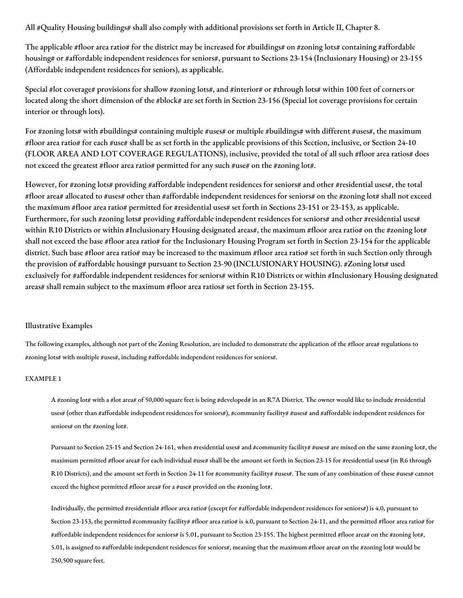All #Quality Housing buildings# shall also comply with additional provisions set forth in Article II, Chapter 8.

The applicable #floor area ratio# for the district may be increased for #buildings# on #zoning lots# containing #affordable housing# or #affordable independent residences for seniors#, pursuant to Sections 23-154 (Inclusionary Housing) or 23-155 (Affordable independent residences for seniors), as applicable.

Special #lot coverage# provisions for shallow #zoning lots#, and #interior# or #through lots# within 100 feet of corners or located along the short dimension of the #block# are set forth in Section 23-156 (Special lot coverage provisions for certain interior or through lots).

For #zoning lots# with #buildings# containing multiple #uses# or multiple #buildings# with different #uses#, the maximum #floor area ratio# for each #use# shall be as set forth in the applicable provisions of this Section, inclusive, or Section 24-10 (FLOOR AREA AND LOT COVERAGE REGULATIONS), inclusive, provided the total of all such #floor area ratios# does not exceed the greatest #floor area ratio# permitted for any such #use# on the #zoning lot#.

However, for #zoning lots# providing #affordable independent residences for seniors# and other #residential uses#, the total #floor area# allocated to #uses# other than #affordable independent residences for seniors# on the #zoning lot# shall not exceed the maximum #floor area ratio# permitted for #residential uses# set forth in Sections 23-151 or 23-153, as applicable. Furthermore, for such #zoning lots# providing #affordable independent residences for seniors# and other #residential uses# within R10 Districts or within #Inclusionary Housing designated areas#, the maximum #floor area ratio# on the #zoning lot# shall not exceed the base #floor area ratio# for the Inclusionary Housing Program set forth in Section 23-154 for the applicable district. Such base #floor area ratio# may be increased to the maximum #floor area ratio# set forth in such Section only through the provision of #affordable housing# pursuant to Section 23-90 (INCLUSIONARY HOUSING). #Zoning lots# used exclusively for #affordable independent residences for seniors# within R10 Districts or within #Inclusionary Housing designated areas# shall remain subject to the maximum #floor area ratios# set forth in Section 23-155.

#### Illustrative Examples

The following examples, although not part of the Zoning Resolution, are included to demonstrate the application of the #floor area# regulations to #zoning lots# with multiple #uses#, including #affordable independent residences for seniors#.

#### EXAMPLE 1

A #zoning lot# with a #lot area# of 50,000 square feet is being #developed# in an R7A District. The owner would like to include #residential uses# (other than #affordable independent residences for seniors#), #community facility# #uses# and #affordable independent residences for seniors# on the #zoning lot#.

Pursuant to Section 23-15 and Section 24-161, when #residential uses# and #community facility# #uses# are mixed on the same #zoning lot#, the maximum permitted #floor area# for each individual #use# shall be the amount set forth in Section 23-15 for #residential uses# (in R6 through R10 Districts), and the amount set forth in Section 24-11 for #community facility# #uses#. The sum of any combination of these #uses# cannot exceed the highest permitted #floor area# for a #use# provided on the #zoning lot#.

Individually, the permitted #residential# #floor area ratio# (except for #affordable independent residences for seniors#) is 4.0, pursuant to Section 23-153, the permitted #community facility# #floor area ratio# is 4.0, pursuant to Section 24-11, and the permitted #floor area ratio# for #affordable independent residences for seniors# is 5.01, pursuant to Section 23-155. The highest permitted #floor area# on the #zoning lot#, 5.01, is assigned to #affordable independent residences for seniors#, meaning that the maximum #floor area# on the #zoning lot# would be 250,500 square feet.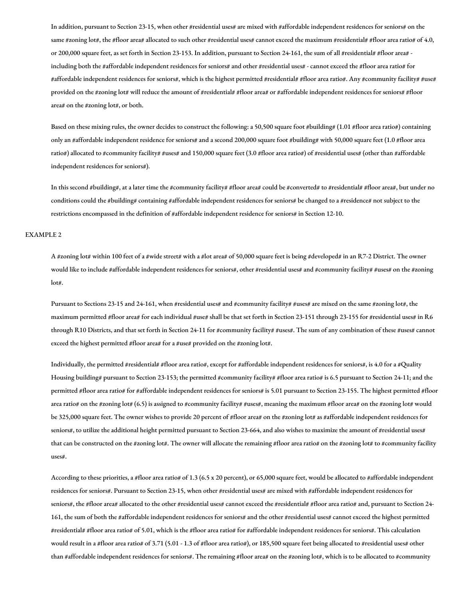In addition, pursuant to Section 23-15, when other #residential uses# are mixed with #affordable independent residences for seniors# on the same #zoning lot#, the #floor area# allocated to such other #residential uses# cannot exceed the maximum #residential# #floor area ratio# of 4.0, or 200,000 square feet, as set forth in Section 23-153. In addition, pursuant to Section 24-161, the sum of all #residential# #floor area# including both the #affordable independent residences for seniors# and other #residential uses# - cannot exceed the #floor area ratio# for #affordable independent residences for seniors#, which is the highest permitted #residential# #floor area ratio#. Any #community facility# #use# provided on the #zoning lot# will reduce the amount of #residential# #floor area# or #affordable independent residences for seniors# #floor area# on the #zoning lot#, or both.

Based on these mixing rules, the owner decides to construct the following: a 50,500 square foot #building# (1.01 #floor area ratio#) containing only an #affordable independent residence for seniors# and a second 200,000 square foot #building# with 50,000 square feet (1.0 #floor area ratio#) allocated to #community facility# #uses# and 150,000 square feet (3.0 #floor area ratio#) of #residential uses# (other than #affordable independent residences for seniors#).

In this second #building#, at a later time the #community facility# #floor area# could be #converted# to #residential# #floor area#, but under no conditions could the #building# containing #affordable independent residences for seniors# be changed to a #residence# not subject to the restrictions encompassed in the definition of #affordable independent residence for seniors# in Section 12-10.

#### EXAMPLE 2

A #zoning lot# within 100 feet of a #wide street# with a #lot area# of 50,000 square feet is being #developed# in an R7-2 District. The owner would like to include #affordable independent residences for seniors#, other #residential uses# and #community facility# #uses# on the #zoning lot#.

Pursuant to Sections 23-15 and 24-161, when #residential uses# and #community facility# #uses# are mixed on the same #zoning lot#, the maximum permitted #floor area# for each individual #use# shall be that set forth in Section 23-151 through 23-155 for #residential uses# in R6 through R10 Districts, and that set forth in Section 24-11 for #community facility# #uses#. The sum of any combination of these #uses# cannot exceed the highest permitted #floor area# for a #use# provided on the #zoning lot#.

Individually, the permitted #residential# #floor area ratio#, except for #affordable independent residences for seniors#, is 4.0 for a #Quality Housing building# pursuant to Section 23-153; the permitted #community facility# #floor area ratio# is 6.5 pursuant to Section 24-11; and the permitted #floor area ratio# for #affordable independent residences for seniors# is 5.01 pursuant to Section 23-155. The highest permitted #floor area ratio# on the #zoning lot# (6.5) is assigned to #community facility# #uses#, meaning the maximum #floor area# on the #zoning lot# would be 325,000 square feet. The owner wishes to provide 20 percent of #floor area# on the #zoning lot# as #affordable independent residences for seniors#, to utilize the additional height permitted pursuant to Section 23-664, and also wishes to maximize the amount of #residential uses# that can be constructed on the #zoning lot#. The owner will allocate the remaining #floor area ratio# on the #zoning lot# to #community facility uses#.

According to these priorities, a #floor area ratio# of 1.3 (6.5 x 20 percent), or 65,000 square feet, would be allocated to #affordable independent residences for seniors#. Pursuant to Section 23-15, when other #residential uses# are mixed with #affordable independent residences for seniors#, the #floor area# allocated to the other #residential uses# cannot exceed the #residential# #floor area ratio# and, pursuant to Section 24- 161, the sum of both the #affordable independent residences for seniors# and the other #residential uses# cannot exceed the highest permitted #residential# #floor area ratio# of 5.01, which is the #floor area ratio# for #affordable independent residences for seniors#. This calculation would result in a #floor area ratio# of 3.71 (5.01 - 1.3 of #floor area ratio#), or 185,500 square feet being allocated to #residential uses# other than #affordable independent residences for seniors#. The remaining #floor area# on the #zoning lot#, which is to be allocated to #community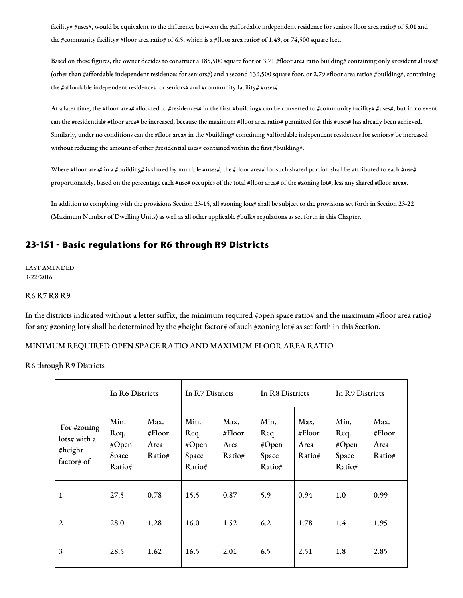facility# #uses#, would be equivalent to the difference between the #affordable independent residence for seniors floor area ratio# of 5.01 and the #community facility# #floor area ratio# of 6.5, which is a #floor area ratio# of 1.49, or 74,500 square feet.

Based on these figures, the owner decides to construct a 185,500 square foot or 3.71 #floor area ratio building# containing only #residential uses# (other than #affordable independent residences for seniors#) and a second 139,500 square foot, or 2.79 #floor area ratio# #building#, containing the #affordable independent residences for seniors# and #community facility# #uses#.

At a later time, the #floor area# allocated to #residences# in the first #building# can be converted to #community facility# #uses#, but in no event can the #residential# #floor area# be increased, because the maximum #floor area ratio# permitted for this #uses# has already been achieved. Similarly, under no conditions can the #floor area# in the #building# containing #affordable independent residences for seniors# be increased without reducing the amount of other #residential uses# contained within the first #building#.

Where #floor area# in a #building# is shared by multiple #uses#, the #floor area# for such shared portion shall be attributed to each #use# proportionately, based on the percentage each #use# occupies of the total #floor area# of the #zoning lot#, less any shared #floor area#.

In addition to complying with the provisions Section 23-15, all #zoning lots# shall be subject to the provisions set forth in Section 23-22 (Maximum Number of Dwelling Units) as well as all other applicable #bulk# regulations as set forth in this Chapter.

## **23-151 - Basic regulations for R6 through R9 Districts**

LAST AMENDED 3/22/2016

#### R6 R7 R8 R9

In the districts indicated without a letter suffix, the minimum required #open space ratio# and the maximum #floor area ratio# for any #zoning lot# shall be determined by the #height factor# of such #zoning lot# as set forth in this Section.

#### MINIMUM REQUIRED OPEN SPACE RATIO AND MAXIMUM FLOOR AREA RATIO

R6 through R9 Districts

|                                                      | In R6 Districts                          |                                     | In R7 Districts                          |                                     | In R8 Districts                          |                                  | In R9 Districts                          |                                     |
|------------------------------------------------------|------------------------------------------|-------------------------------------|------------------------------------------|-------------------------------------|------------------------------------------|----------------------------------|------------------------------------------|-------------------------------------|
| For #zoning<br>lots# with a<br>#height<br>factor# of | Min.<br>Req.<br>#Open<br>Space<br>Ratio# | Max.<br># $Floor$<br>Area<br>Ratio# | Min.<br>Req.<br>#Open<br>Space<br>Ratio# | Max.<br># $Floor$<br>Area<br>Ratio# | Min.<br>Req.<br>#Open<br>Space<br>Ratio# | Max.<br>#Floor<br>Area<br>Ratio# | Min.<br>Req.<br>#Open<br>Space<br>Ratio# | Max.<br># $Floor$<br>Area<br>Ratio# |
| $\mathbf{1}$                                         | 27.5                                     | 0.78                                | 15.5                                     | 0.87                                | 5.9                                      | 0.94                             | 1.0                                      | 0.99                                |
| 2                                                    | 28.0                                     | 1.28                                | 16.0                                     | 1.52                                | 6.2                                      | 1.78                             | 1.4                                      | 1.95                                |
| 3                                                    | 28.5                                     | 1.62                                | 16.5                                     | 2.01                                | 6.5                                      | 2.51                             | 1.8                                      | 2.85                                |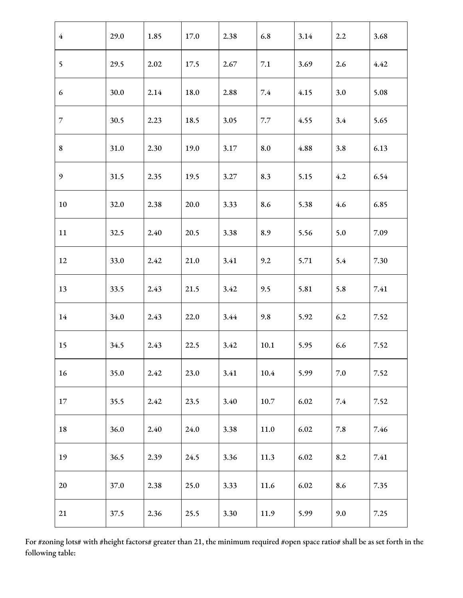| $\overline{4}$ | 29.0 | 1.85 | 17.0 | 2.38 | 6.8     | 3.14 | 2.2     | 3.68 |
|----------------|------|------|------|------|---------|------|---------|------|
| 5 <sup>5</sup> | 29.5 | 2.02 | 17.5 | 2.67 | 7.1     | 3.69 | 2.6     | 4.42 |
| 6              | 30.0 | 2.14 | 18.0 | 2.88 | 7.4     | 4.15 | 3.0     | 5.08 |
| $\overline{7}$ | 30.5 | 2.23 | 18.5 | 3.05 | $7.7\,$ | 4.55 | 3.4     | 5.65 |
| 8              | 31.0 | 2.30 | 19.0 | 3.17 | 8.0     | 4.88 | 3.8     | 6.13 |
| 9              | 31.5 | 2.35 | 19.5 | 3.27 | 8.3     | 5.15 | 4.2     | 6.54 |
| 10             | 32.0 | 2.38 | 20.0 | 3.33 | 8.6     | 5.38 | 4.6     | 6.85 |
| 11             | 32.5 | 2.40 | 20.5 | 3.38 | 8.9     | 5.56 | 5.0     | 7.09 |
| 12             | 33.0 | 2.42 | 21.0 | 3.41 | 9.2     | 5.71 | 5.4     | 7.30 |
| 13             | 33.5 | 2.43 | 21.5 | 3.42 | 9.5     | 5.81 | 5.8     | 7.41 |
| 14             | 34.0 | 2.43 | 22.0 | 3.44 | 9.8     | 5.92 | 6.2     | 7.52 |
| 15             | 34.5 | 2.43 | 22.5 | 3.42 | 10.1    | 5.95 | 6.6     | 7.52 |
| 16             | 35.0 | 2.42 | 23.0 | 3.41 | 10.4    | 5.99 | $7.0\,$ | 7.52 |
| $17\,$         | 35.5 | 2.42 | 23.5 | 3.40 | 10.7    | 6.02 | 7.4     | 7.52 |
| 18             | 36.0 | 2.40 | 24.0 | 3.38 | 11.0    | 6.02 | 7.8     | 7.46 |
| 19             | 36.5 | 2.39 | 24.5 | 3.36 | 11.3    | 6.02 | 8.2     | 7.41 |
| 20             | 37.0 | 2.38 | 25.0 | 3.33 | 11.6    | 6.02 | 8.6     | 7.35 |
| 21             | 37.5 | 2.36 | 25.5 | 3.30 | 11.9    | 5.99 | 9.0     | 7.25 |

For #zoning lots# with #height factors# greater than 21, the minimum required #open space ratio# shall be as set forth in the following table: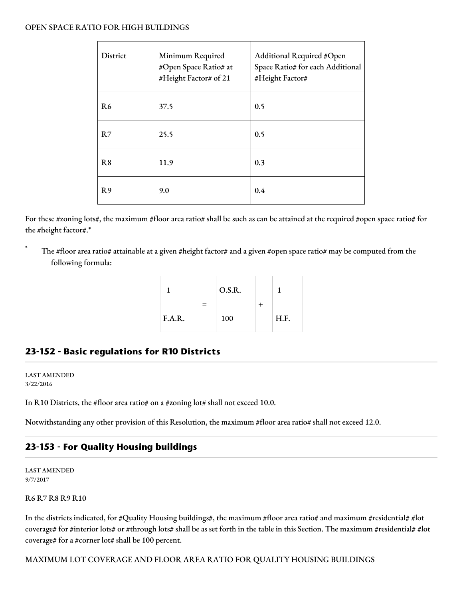#### OPEN SPACE RATIO FOR HIGH BUILDINGS

| District       | Minimum Required<br>#Open Space Ratio# at<br>#Height Factor# of 21 | Additional Required #Open<br>Space Ratio# for each Additional<br>#Height Factor# |
|----------------|--------------------------------------------------------------------|----------------------------------------------------------------------------------|
| R <sub>6</sub> | 37.5                                                               | 0.5                                                                              |
| R7             | 25.5                                                               | 0.5                                                                              |
| R8             | 11.9                                                               | 0.3                                                                              |
| R <sub>9</sub> | 9.0                                                                | 0.4                                                                              |

For these #zoning lots#, the maximum #floor area ratio# shall be such as can be attained at the required #open space ratio# for the #height factor#.\*

The #floor area ratio# attainable at a given #height factor# and a given #open space ratio# may be computed from the following formula:



# **23-152 - Basic regulations for R10 Districts**

LAST AMENDED 3/22/2016

In R10 Districts, the #floor area ratio# on a #zoning lot# shall not exceed 10.0.

Notwithstanding any other provision of this Resolution, the maximum #floor area ratio# shall not exceed 12.0.

## **23-153 - For Quality Housing buildings**

LAST AMENDED 9/7/2017

R6 R7 R8 R9 R10

In the districts indicated, for #Quality Housing buildings#, the maximum #floor area ratio# and maximum #residential# #lot coverage# for #interior lots# or #through lots# shall be as set forth in the table in this Section. The maximum #residential# #lot coverage# for a #corner lot# shall be 100 percent.

#### MAXIMUM LOT COVERAGE AND FLOOR AREA RATIO FOR QUALITY HOUSING BUILDINGS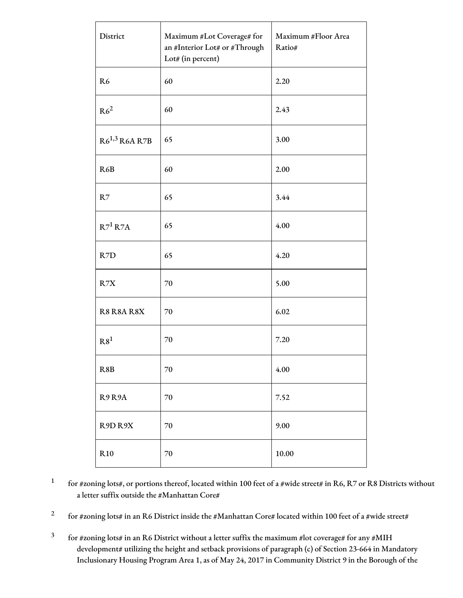| District           | Maximum #Lot Coverage# for<br>an #Interior Lot# or #Through<br>Lot# (in percent) | Maximum #Floor Area<br>Ratio# |
|--------------------|----------------------------------------------------------------------------------|-------------------------------|
| R <sub>6</sub>     | 60                                                                               | 2.20                          |
| R6 <sup>2</sup>    | 60                                                                               | 2.43                          |
| $R6^{1,3}$ R6A R7B | 65                                                                               | 3.00                          |
| R6B                | 60                                                                               | 2.00                          |
| R7                 | 65                                                                               | 3.44                          |
| $R7^1 R7A$         | 65                                                                               | 4.00                          |
| R7D                | 65                                                                               | 4.20                          |
| R7X                | 70                                                                               | 5.00                          |
| R8 R8A R8X         | 70                                                                               | 6.02                          |
| R8 <sup>1</sup>    | 70                                                                               | 7.20                          |
| R8B                | $70\,$                                                                           | 4.00                          |
| R9R9A              | 70                                                                               | 7.52                          |
| R9D R9X            | 70                                                                               | 9.00                          |
| R10                | $70\,$                                                                           | 10.00                         |

1 for #zoning lots#, or portions thereof, located within 100 feet of a #wide street# in R6, R7 or R8 Districts without a letter suffix outside the #Manhattan Core#

2 for #zoning lots# in an R6 District inside the #Manhattan Core# located within 100 feet of a #wide street#

3 for #zoning lots# in an R6 District without a letter suffix the maximum #lot coverage# for any #MIH development# utilizing the height and setback provisions of paragraph (c) of Section 23-664 in Mandatory Inclusionary Housing Program Area 1, as of May 24, 2017 in Community District 9 in the Borough of the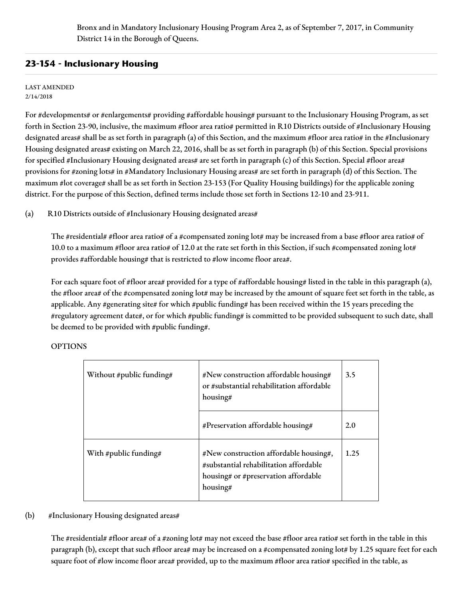Bronx and in Mandatory Inclusionary Housing Program Area 2, as of September 7, 2017, in Community District 14 in the Borough of Queens.

## **23-154 - Inclusionary Housing**

#### LAST AMENDED 2/14/2018

For #developments# or #enlargements# providing #affordable housing# pursuant to the Inclusionary Housing Program, as set forth in Section 23-90, inclusive, the maximum #floor area ratio# permitted in R10 Districts outside of #Inclusionary Housing designated areas# shall be as set forth in paragraph (a) of this Section, and the maximum #floor area ratio# in the #Inclusionary Housing designated areas# existing on March 22, 2016, shall be as set forth in paragraph (b) of this Section. Special provisions for specified #Inclusionary Housing designated areas# are set forth in paragraph (c) of this Section. Special #floor area# provisions for #zoning lots# in #Mandatory Inclusionary Housing areas# are set forth in paragraph (d) of this Section. The maximum #lot coverage# shall be as set forth in Section 23-153 (For Quality Housing buildings) for the applicable zoning district. For the purpose of this Section, defined terms include those set forth in Sections 12-10 and 23-911.

(a) R10 Districts outside of #Inclusionary Housing designated areas#

The #residential# #floor area ratio# of a #compensated zoning lot# may be increased from a base #floor area ratio# of 10.0 to a maximum #floor area ratio# of 12.0 at the rate set forth in this Section, if such #compensated zoning lot# provides #affordable housing# that is restricted to #low income floor area#.

For each square foot of #floor area# provided for a type of #affordable housing# listed in the table in this paragraph (a), the #floor area# of the #compensated zoning lot# may be increased by the amount of square feet set forth in the table, as applicable. Any #generating site# for which #public funding# has been received within the 15 years preceding the #regulatory agreement date#, or for which #public funding# is committed to be provided subsequent to such date, shall be deemed to be provided with #public funding#.

#### OPTIONS

| Without #public funding# | #New construction affordable housing#<br>or #substantial rehabilitation affordable<br>housing#                                       | 3.5<br>2.0 |  |
|--------------------------|--------------------------------------------------------------------------------------------------------------------------------------|------------|--|
|                          | #Preservation affordable housing#                                                                                                    |            |  |
| With #public funding#    | #New construction affordable housing#,<br>#substantial rehabilitation affordable<br>housing# or #preservation affordable<br>housing# | 1.25       |  |

#### (b) #Inclusionary Housing designated areas#

The #residential# #floor area# of a #zoning lot# may not exceed the base #floor area ratio# set forth in the table in this paragraph (b), except that such #floor area# may be increased on a #compensated zoning lot# by 1.25 square feet for each square foot of #low income floor area# provided, up to the maximum #floor area ratio# specified in the table, as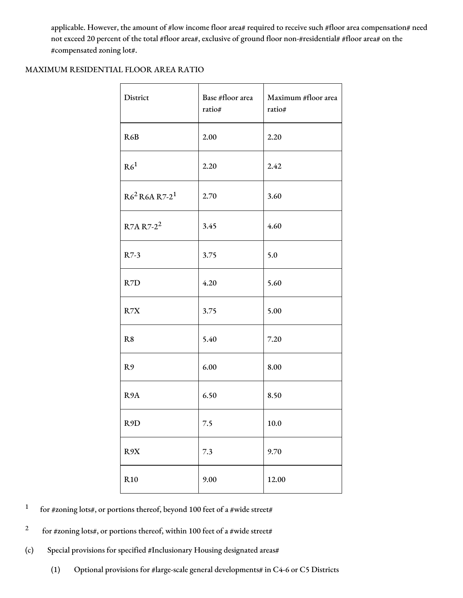applicable. However, the amount of #low income floor area# required to receive such #floor area compensation# need not exceed 20 percent of the total #floor area#, exclusive of ground floor non-#residential# #floor area# on the #compensated zoning lot#.

#### MAXIMUM RESIDENTIAL FLOOR AREA RATIO

| District              | Base #floor area<br>ratio# | Maximum #floor area<br>ratio# |
|-----------------------|----------------------------|-------------------------------|
| R6B                   | 2.00                       | 2.20                          |
| R6 <sup>1</sup>       | 2.20                       | 2.42                          |
| $R6^2 R6A R7-2^1$     | 2.70                       | 3.60                          |
| R7A R7-2 <sup>2</sup> | 3.45                       | 4.60                          |
| R7-3                  | 3.75                       | 5.0                           |
| R7D                   | 4.20                       | 5.60                          |
| R7X                   | 3.75                       | 5.00                          |
| R8                    | 5.40                       | 7.20                          |
| R <sub>9</sub>        | 6.00                       | 8.00                          |
| R <sub>9</sub> A      | 6.50                       | 8.50                          |
| R9D                   | 7.5                        | 10.0                          |
| R9X                   | 7.3                        | 9.70                          |
| R10                   | 9.00                       | 12.00                         |

1 for #zoning lots#, or portions thereof, beyond 100 feet of a #wide street#

- 2 for #zoning lots#, or portions thereof, within 100 feet of a #wide street#
- (c) Special provisions for specified #Inclusionary Housing designated areas#
	- (1) Optional provisions for #large-scale general developments# in C4-6 or C5 Districts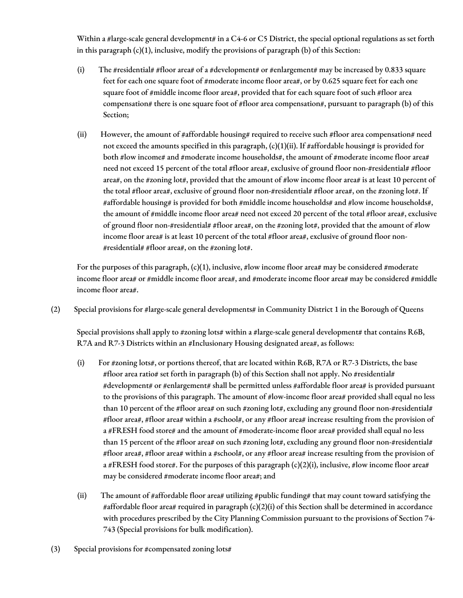Within a #large-scale general development# in a C4-6 or C5 District, the special optional regulations as set forth in this paragraph  $(c)(1)$ , inclusive, modify the provisions of paragraph  $(b)$  of this Section:

- (i) The #residential# #floor area# of a #development# or #enlargement# may be increased by 0.833 square feet for each one square foot of #moderate income floor area#, or by 0.625 square feet for each one square foot of #middle income floor area#, provided that for each square foot of such #floor area compensation# there is one square foot of #floor area compensation#, pursuant to paragraph (b) of this Section;
- (ii) However, the amount of #affordable housing# required to receive such #floor area compensation# need not exceed the amounts specified in this paragraph,  $(c)(1)(ii)$ . If #affordable housing# is provided for both #low income# and #moderate income households#, the amount of #moderate income floor area# need not exceed 15 percent of the total #floor area#, exclusive of ground floor non-#residential# #floor area#, on the #zoning lot#, provided that the amount of #low income floor area# is at least 10 percent of the total #floor area#, exclusive of ground floor non-#residential# #floor area#, on the #zoning lot#. If #affordable housing# is provided for both #middle income households# and #low income households#, the amount of #middle income floor area# need not exceed 20 percent of the total #floor area#, exclusive of ground floor non-#residential# #floor area#, on the #zoning lot#, provided that the amount of #low income floor area# is at least 10 percent of the total #floor area#, exclusive of ground floor non- #residential# #floor area#, on the #zoning lot#.

For the purposes of this paragraph,  $(c)(1)$ , inclusive, #low income floor area# may be considered #moderate income floor area# or #middle income floor area#, and #moderate income floor area# may be considered #middle income floor area#.

(2) Special provisions for #large-scale general developments# in Community District 1 in the Borough of Queens

Special provisions shall apply to #zoning lots# within a #large-scale general development# that contains R6B, R7A and R7-3 Districts within an #Inclusionary Housing designated area#, as follows:

- (i) For #zoning lots#, or portions thereof, that are located within R6B, R7A or R7-3 Districts, the base #floor area ratio# set forth in paragraph (b) of this Section shall not apply. No #residential# #development# or #enlargement# shall be permitted unless #affordable floor area# is provided pursuant to the provisions of this paragraph. The amount of #low-income floor area# provided shall equal no less than 10 percent of the #floor area# on such #zoning lot#, excluding any ground floor non-#residential# #floor area#, #floor area# within a #school#, or any #floor area# increase resulting from the provision of a #FRESH food store# and the amount of #moderate-income floor area# provided shall equal no less than 15 percent of the #floor area# on such #zoning lot#, excluding any ground floor non-#residential# #floor area#, #floor area# within a #school#, or any #floor area# increase resulting from the provision of a #FRESH food store#. For the purposes of this paragraph (c)(2)(i), inclusive, #low income floor area# may be considered #moderate income floor area#; and
- (ii) The amount of #affordable floor area# utilizing #public funding# that may count toward satisfying the #affordable floor area# required in paragraph (c)(2)(i) of this Section shall be determined in accordance with procedures prescribed by the City Planning Commission pursuant to the provisions of Section 74- 743 (Special provisions for bulk modification).
- (3) Special provisions for #compensated zoning lots#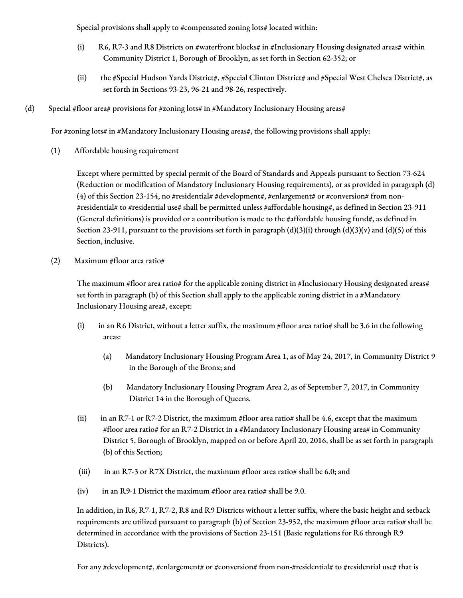Special provisions shall apply to #compensated zoning lots# located within:

- (i) R6, R7-3 and R8 Districts on #waterfront blocks# in #Inclusionary Housing designated areas# within Community District 1, Borough of Brooklyn, as set forth in Section 62-352; or
- (ii) the #Special Hudson Yards District#, #Special Clinton District# and #Special West Chelsea District#, as set forth in Sections 93-23, 96-21 and 98-26, respectively.
- (d) Special #floor area# provisions for #zoning lots# in #Mandatory Inclusionary Housing areas#

For #zoning lots# in #Mandatory Inclusionary Housing areas#, the following provisions shall apply:

(1) Affordable housing requirement

Except where permitted by special permit of the Board of Standards and Appeals pursuant to Section 73-624 (Reduction or modification of Mandatory Inclusionary Housing requirements), or as provided in paragraph (d) (4) of this Section 23-154, no #residential# #development#, #enlargement# or #conversion# from non-#residential# to #residential use# shall be permitted unless #affordable housing#, as defined in Section 23-911 (General definitions) is provided or a contribution is made to the #affordable housing fund#, as defined in Section 23-911, pursuant to the provisions set forth in paragraph  $(d)(3)(i)$  through  $(d)(3)(v)$  and  $(d)(5)$  of this Section, inclusive.

(2) Maximum #floor area ratio#

The maximum #floor area ratio# for the applicable zoning district in #Inclusionary Housing designated areas# set forth in paragraph (b) of this Section shall apply to the applicable zoning district in a #Mandatory Inclusionary Housing area#, except:

- (i) in an R6 District, without a letter suffix, the maximum #floor area ratio# shall be 3.6 in the following areas:
	- (a) Mandatory Inclusionary Housing Program Area 1, as of May 24, 2017, in Community District 9 in the Borough of the Bronx; and
	- (b) Mandatory Inclusionary Housing Program Area 2, as of September 7, 2017, in Community District 14 in the Borough of Queens.
- (ii) in an R7-1 or R7-2 District, the maximum #floor area ratio# shall be 4.6, except that the maximum #floor area ratio# for an R7-2 District in a #Mandatory Inclusionary Housing area# in Community District 5, Borough of Brooklyn, mapped on or before April 20, 2016, shall be as set forth in paragraph (b) of this Section;
- (iii) in an R7-3 or R7X District, the maximum #floor area ratio# shall be 6.0; and
- (iv) in an R9-1 District the maximum #floor area ratio# shall be 9.0.

In addition, in R6, R7-1, R7-2, R8 and R9 Districts without a letter suffix, where the basic height and setback requirements are utilized pursuant to paragraph (b) of Section 23-952, the maximum #floor area ratio# shall be determined in accordance with the provisions of Section 23-151 (Basic regulations for R6 through R9 Districts).

For any #development#, #enlargement# or #conversion# from non-#residential# to #residential use# that is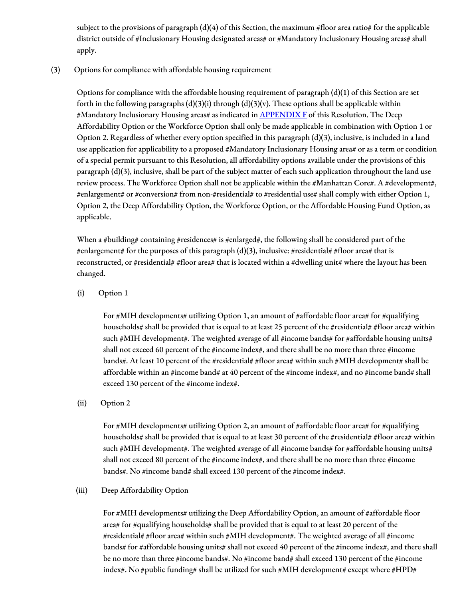subject to the provisions of paragraph  $(d)(4)$  of this Section, the maximum #floor area ratio# for the applicable district outside of #Inclusionary Housing designated areas# or #Mandatory Inclusionary Housing areas# shall apply.

(3) Options for compliance with affordable housing requirement

Options for compliance with the affordable housing requirement of paragraph (d)(1) of this Section are set forth in the following paragraphs  $(d)(3)(i)$  through  $(d)(3)(v)$ . These options shall be applicable within #Mandatory Inclusionary Housing areas# as indicated in **[APPENDIX](http://www1.nyc.gov/assets/planning/download/pdf/zoning/zoning-text/appendixf.pdf) F** of this Resolution. The Deep Affordability Option or the Workforce Option shall only be made applicable in combination with Option 1 or Option 2. Regardless of whether every option specified in this paragraph (d)(3), inclusive, is included in a land use application for applicability to a proposed #Mandatory Inclusionary Housing area# or as a term or condition of a special permit pursuant to this Resolution, all affordability options available under the provisions of this paragraph (d)(3), inclusive, shall be part of the subject matter of each such application throughout the land use review process. The Workforce Option shall not be applicable within the #Manhattan Core#. A #development#, #enlargement# or #conversion# from non-#residential# to #residential use# shall comply with either Option 1, Option 2, the Deep Affordability Option, the Workforce Option, or the Affordable Housing Fund Option, as applicable.

When a #building# containing #residences# is #enlarged#, the following shall be considered part of the #enlargement# for the purposes of this paragraph (d)(3), inclusive: #residential# #floor area# that is reconstructed, or #residential# #floor area# that is located within a #dwelling unit# where the layout has been changed.

## (i) Option 1

For #MIH developments# utilizing Option 1, an amount of #affordable floor area# for #qualifying households# shall be provided that is equal to at least 25 percent of the #residential# #floor area# within such #MIH development#. The weighted average of all #income bands# for #affordable housing units# shall not exceed 60 percent of the #income index#, and there shall be no more than three #income bands#. At least 10 percent of the #residential# #floor area# within such #MIH development# shall be affordable within an #income band# at 40 percent of the #income index#, and no #income band# shall exceed 130 percent of the #income index#.

#### (ii) Option 2

For  $\#$ MIH developments# utilizing Option 2, an amount of  $\#$ affordable floor area# for #qualifying households# shall be provided that is equal to at least 30 percent of the #residential# #floor area# within such #MIH development#. The weighted average of all #income bands# for #affordable housing units# shall not exceed 80 percent of the #income index#, and there shall be no more than three #income bands#. No #income band# shall exceed 130 percent of the #income index#.

#### (iii) Deep Affordability Option

For #MIH developments# utilizing the Deep Affordability Option, an amount of #affordable floor area# for #qualifying households# shall be provided that is equal to at least 20 percent of the #residential# #floor area# within such #MIH development#. The weighted average of all #income bands# for #affordable housing units# shall not exceed 40 percent of the #income index#, and there shall be no more than three #income bands#. No #income band# shall exceed 130 percent of the #income index#. No #public funding# shall be utilized for such #MIH development# except where #HPD#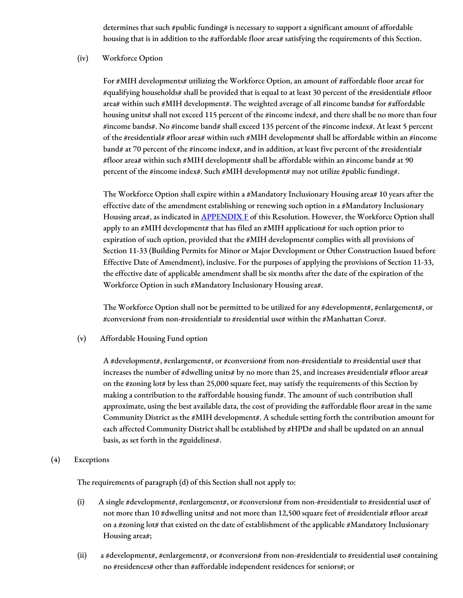determines that such #public funding# is necessary to support a significant amount of affordable housing that is in addition to the #affordable floor area# satisfying the requirements of this Section.

#### (iv) Workforce Option

For #MIH developments# utilizing the Workforce Option, an amount of #affordable floor area# for #qualifying households# shall be provided that is equal to at least 30 percent of the #residential# #floor area# within such #MIH development#. The weighted average of all #income bands# for #affordable housing units# shall not exceed 115 percent of the #income index#, and there shall be no more than four #income bands#. No #income band# shall exceed 135 percent of the #income index#. At least 5 percent of the #residential# #floor area# within such #MIH development# shall be affordable within an #income band# at 70 percent of the #income index#, and in addition, at least five percent of the #residential# #floor area# within such #MIH development# shall be affordable within an #income band# at 90 percent of the #income index#. Such #MIH development# may not utilize #public funding#.

The Workforce Option shall expire within a #Mandatory Inclusionary Housing area# 10 years after the effective date of the amendment establishing or renewing such option in a #Mandatory Inclusionary Housing area#, as indicated in **[APPENDIX](http://www1.nyc.gov/assets/planning/download/pdf/zoning/zoning-text/appendixf.pdf) F** of this Resolution. However, the Workforce Option shall apply to an #MIH development# that has filed an #MIH application# for such option prior to expiration of such option, provided that the #MIH development# complies with all provisions of Section 11-33 (Building Permits for Minor or Major Development or Other Construction Issued before Effective Date of Amendment), inclusive. For the purposes of applying the provisions of Section 11-33, the effective date of applicable amendment shall be six months after the date of the expiration of the Workforce Option in such #Mandatory Inclusionary Housing area#.

The Workforce Option shall not be permitted to be utilized for any #development#, #enlargement#, or #conversion# from non-#residential# to #residential use# within the #Manhattan Core#.

(v) Affordable Housing Fund option

A #development#, #enlargement#, or #conversion# from non-#residential# to #residential use# that increases the number of #dwelling units# by no more than 25, and increases #residential# #floor area# on the #zoning lot# by less than 25,000 square feet, may satisfy the requirements of this Section by making a contribution to the #affordable housing fund#. The amount of such contribution shall approximate, using the best available data, the cost of providing the #affordable floor area# in the same Community District as the #MIH development#. A schedule setting forth the contribution amount for each affected Community District shall be established by #HPD# and shall be updated on an annual basis, as set forth in the #guidelines#.

#### (4) Exceptions

The requirements of paragraph (d) of this Section shall not apply to:

- (i) A single #development#, #enlargement#, or #conversion# from non-#residential# to #residential use# of not more than 10 #dwelling units# and not more than 12,500 square feet of #residential# #floor area# on a #zoning lot# that existed on the date of establishment of the applicable #Mandatory Inclusionary Housing area#;
- (ii) a #development#, #enlargement#, or #conversion# from non-#residential# to #residential use# containing no #residences# other than #affordable independent residences for seniors#; or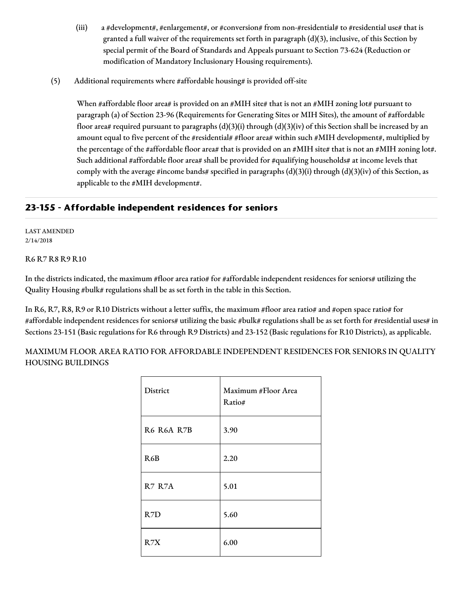- (iii) a #development#, #enlargement#, or #conversion# from non-#residential# to #residential use# that is granted a full waiver of the requirements set forth in paragraph (d)(3), inclusive, of this Section by special permit of the Board of Standards and Appeals pursuant to Section 73-624 (Reduction or modification of Mandatory Inclusionary Housing requirements).
- (5) Additional requirements where #affordable housing# is provided off-site

When #affordable floor area# is provided on an #MIH site# that is not an #MIH zoning lot# pursuant to paragraph (a) of Section 23-96 (Requirements for Generating Sites or MIH Sites), the amount of #affordable floor area# required pursuant to paragraphs (d)(3)(i) through (d)(3)(iv) of this Section shall be increased by an amount equal to five percent of the #residential# #floor area# within such #MIH development#, multiplied by the percentage of the #affordable floor area# that is provided on an #MIH site# that is not an #MIH zoning lot#. Such additional #affordable floor area# shall be provided for #qualifying households# at income levels that comply with the average #income bands# specified in paragraphs  $(d)(3)(i)$  through  $(d)(3)(iv)$  of this Section, as applicable to the #MIH development#.

## **23-155 - Affordable independent residences for seniors**

LAST AMENDED 2/14/2018

R6 R7 R8 R9 R10

In the districts indicated, the maximum #floor area ratio# for #affordable independent residences for seniors# utilizing the Quality Housing #bulk# regulations shall be as set forth in the table in this Section.

In R6, R7, R8, R9 or R10 Districts without a letter suffix, the maximum #floor area ratio# and #open space ratio# for #affordable independent residences for seniors# utilizing the basic #bulk# regulations shall be as set forth for #residential uses# in Sections 23-151 (Basic regulations for R6 through R9 Districts) and 23-152 (Basic regulations for R10 Districts), as applicable.

MAXIMUM FLOOR AREA RATIO FOR AFFORDABLE INDEPENDENT RESIDENCES FOR SENIORS IN QUALITY HOUSING BUILDINGS

| District   | Maximum #Floor Area<br>Ratio# |
|------------|-------------------------------|
| R6 R6A R7B | 3.90                          |
| R6B        | 2.20                          |
| R7 R7A     | 5.01                          |
| R7D        | 5.60                          |
| R7X        | 6.00                          |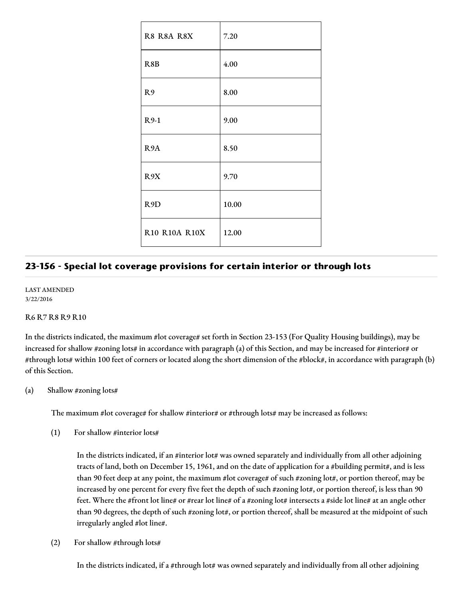| R8 R8A R8X       | 7.20  |
|------------------|-------|
| R8B              | 4.00  |
| R9               | 8.00  |
| $R9-1$           | 9.00  |
| R <sub>9</sub> A | 8.50  |
| R9X              | 9.70  |
| R <sub>9</sub> D | 10.00 |
| R10 R10A R10X    | 12.00 |

# **23-156 - Special lot coverage provisions for certain interior or through lots**

LAST AMENDED 3/22/2016

#### R6 R7 R8 R9 R10

In the districts indicated, the maximum #lot coverage# set forth in Section 23-153 (For Quality Housing buildings), may be increased for shallow #zoning lots# in accordance with paragraph (a) of this Section, and may be increased for #interior# or #through lots# within 100 feet of corners or located along the short dimension of the #block#, in accordance with paragraph (b) of this Section.

(a) Shallow #zoning lots#

The maximum #lot coverage# for shallow #interior# or #through lots# may be increased as follows:

(1) For shallow #interior lots#

In the districts indicated, if an #interior lot# was owned separately and individually from all other adjoining tracts of land, both on December 15, 1961, and on the date of application for a #building permit#, and is less than 90 feet deep at any point, the maximum #lot coverage# of such #zoning lot#, or portion thereof, may be increased by one percent for every five feet the depth of such #zoning lot#, or portion thereof, is less than 90 feet. Where the #front lot line# or #rear lot line# of a #zoning lot# intersects a #side lot line# at an angle other than 90 degrees, the depth of such #zoning lot#, or portion thereof, shall be measured at the midpoint of such irregularly angled #lot line#.

(2) For shallow #through lots#

In the districts indicated, if a #through lot# was owned separately and individually from all other adjoining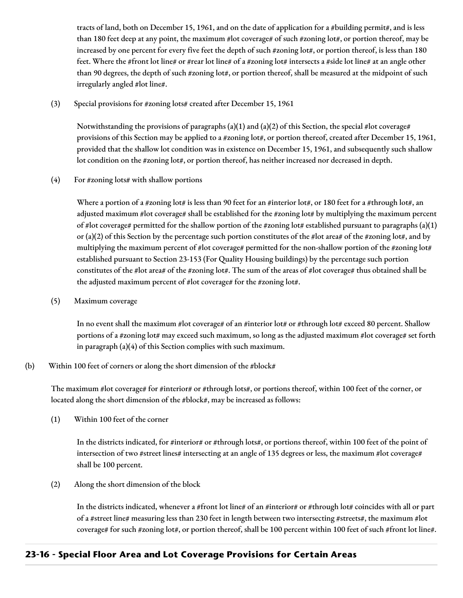tracts of land, both on December 15, 1961, and on the date of application for a #building permit#, and is less than 180 feet deep at any point, the maximum #lot coverage# of such #zoning lot#, or portion thereof, may be increased by one percent for every five feet the depth of such #zoning lot#, or portion thereof, is less than 180 feet. Where the #front lot line# or #rear lot line# of a #zoning lot# intersects a #side lot line# at an angle other than 90 degrees, the depth of such #zoning lot#, or portion thereof, shall be measured at the midpoint of such irregularly angled #lot line#.

(3) Special provisions for #zoning lots# created after December 15, 1961

Notwithstanding the provisions of paragraphs (a)(1) and (a)(2) of this Section, the special #lot coverage# provisions of this Section may be applied to a #zoning lot#, or portion thereof, created after December 15, 1961, provided that the shallow lot condition was in existence on December 15, 1961, and subsequently such shallow lot condition on the #zoning lot#, or portion thereof, has neither increased nor decreased in depth.

(4) For #zoning lots# with shallow portions

Where a portion of a #zoning lot# is less than 90 feet for an #interior lot#, or 180 feet for a #through lot#, an adjusted maximum #lot coverage# shall be established for the #zoning lot# by multiplying the maximum percent of #lot coverage# permitted for the shallow portion of the #zoning lot# established pursuant to paragraphs (a)(1) or (a)(2) of this Section by the percentage such portion constitutes of the #lot area# of the #zoning lot#, and by multiplying the maximum percent of #lot coverage# permitted for the non-shallow portion of the #zoning lot# established pursuant to Section 23-153 (For Quality Housing buildings) by the percentage such portion constitutes of the #lot area# of the #zoning lot#. The sum of the areas of #lot coverage# thus obtained shall be the adjusted maximum percent of #lot coverage# for the #zoning lot#.

(5) Maximum coverage

In no event shall the maximum #lot coverage# of an #interior lot# or #through lot# exceed 80 percent. Shallow portions of a #zoning lot# may exceed such maximum, so long as the adjusted maximum #lot coverage# set forth in paragraph (a)(4) of this Section complies with such maximum.

## (b) Within 100 feet of corners or along the short dimension of the  $\#block\#$

The maximum #lot coverage# for #interior# or #through lots#, or portions thereof, within 100 feet of the corner, or located along the short dimension of the #block#, may be increased as follows:

(1) Within 100 feet of the corner

In the districts indicated, for #interior# or #through lots#, or portions thereof, within 100 feet of the point of intersection of two #street lines# intersecting at an angle of 135 degrees or less, the maximum #lot coverage# shall be 100 percent.

(2) Along the short dimension of the block

In the districts indicated, whenever a #front lot line# of an #interior# or #through lot# coincides with all or part of a #street line# measuring less than 230 feet in length between two intersecting #streets#, the maximum #lot coverage# for such #zoning lot#, or portion thereof, shall be 100 percent within 100 feet of such #front lot line#.

# **23-16 - Special Floor Area and Lot Coverage Provisions for Certain Areas**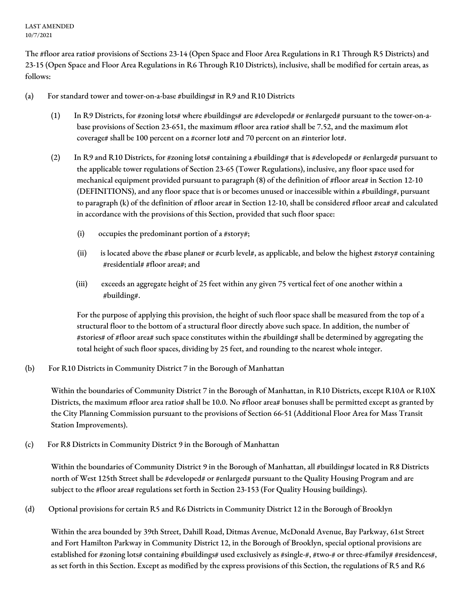LAST AMENDED 10/7/2021

The #floor area ratio# provisions of Sections 23-14 (Open Space and Floor Area Regulations in R1 Through R5 Districts) and 23-15 (Open Space and Floor Area Regulations in R6 Through R10 Districts), inclusive, shall be modified for certain areas, as follows:

- (a) For standard tower and tower-on-a-base #buildings# in R9 and R10 Districts
	- (1) In R9 Districts, for #zoning lots# where #buildings# are #developed# or #enlarged# pursuant to the tower-on-abase provisions of Section 23-651, the maximum #floor area ratio# shall be 7.52, and the maximum #lot coverage# shall be 100 percent on a #corner lot# and 70 percent on an #interior lot#.
	- (2) In R9 and R10 Districts, for #zoning lots# containing a #building# that is #developed# or #enlarged# pursuant to the applicable tower regulations of Section 23-65 (Tower Regulations), inclusive, any floor space used for mechanical equipment provided pursuant to paragraph (8) of the definition of #floor area# in Section 12-10 (DEFINITIONS), and any floor space that is or becomes unused or inaccessible within a #building#, pursuant to paragraph (k) of the definition of #floor area# in Section 12-10, shall be considered #floor area# and calculated in accordance with the provisions of this Section, provided that such floor space:
		- (i) occupies the predominant portion of a #story#;
		- (ii) is located above the #base plane# or #curb level#, as applicable, and below the highest #story# containing #residential# #floor area#; and
		- (iii) exceeds an aggregate height of 25 feet within any given 75 vertical feet of one another within a #building#.

For the purpose of applying this provision, the height of such floor space shall be measured from the top of a structural floor to the bottom of a structural floor directly above such space. In addition, the number of #stories# of #floor area# such space constitutes within the #building# shall be determined by aggregating the total height of such floor spaces, dividing by 25 feet, and rounding to the nearest whole integer.

(b) For R10 Districts in Community District 7 in the Borough of Manhattan

Within the boundaries of Community District 7 in the Borough of Manhattan, in R10 Districts, except R10A or R10X Districts, the maximum #floor area ratio# shall be 10.0. No #floor area# bonuses shall be permitted except as granted by the City Planning Commission pursuant to the provisions of Section 66-51 (Additional Floor Area for Mass Transit Station Improvements).

(c) For R8 Districts in Community District 9 in the Borough of Manhattan

Within the boundaries of Community District 9 in the Borough of Manhattan, all #buildings# located in R8 Districts north of West 125th Street shall be #developed# or #enlarged# pursuant to the Quality Housing Program and are subject to the #floor area# regulations set forth in Section 23-153 (For Quality Housing buildings).

(d) Optional provisions for certain R5 and R6 Districts in Community District 12 in the Borough of Brooklyn

Within the area bounded by 39th Street, Dahill Road, Ditmas Avenue, McDonald Avenue, Bay Parkway, 61st Street and Fort Hamilton Parkway in Community District 12, in the Borough of Brooklyn, special optional provisions are established for #zoning lots# containing #buildings# used exclusively as #single-#, #two-# or three-#family# #residences#, as set forth in this Section. Except as modified by the express provisions of this Section, the regulations of R5 and R6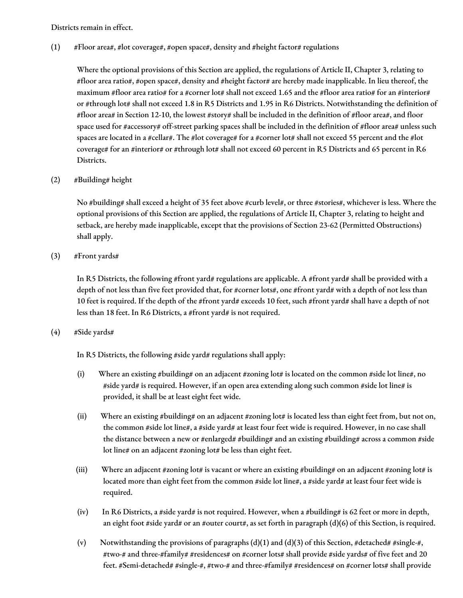Districts remain in effect.

 $(1)$  #Floor area#, #lot coverage#, #open space#, density and #height factor# regulations

Where the optional provisions of this Section are applied, the regulations of Article II, Chapter 3, relating to #floor area ratio#, #open space#, density and #height factor# are hereby made inapplicable. In lieu thereof, the maximum #floor area ratio# for a #corner lot# shall not exceed 1.65 and the #floor area ratio# for an #interior# or #through lot# shall not exceed 1.8 in R5 Districts and 1.95 in R6 Districts. Notwithstanding the definition of #floor area# in Section 12-10, the lowest #story# shall be included in the definition of #floor area#, and floor space used for #accessory# off-street parking spaces shall be included in the definition of #floor area# unless such spaces are located in a #cellar#. The #lot coverage# for a #corner lot# shall not exceed 55 percent and the #lot coverage# for an #interior# or #through lot# shall not exceed 60 percent in R5 Districts and 65 percent in R6 Districts.

(2) #Building# height

No #building# shall exceed a height of 35 feet above #curb level#, or three #stories#, whichever is less. Where the optional provisions of this Section are applied, the regulations of Article II, Chapter 3, relating to height and setback, are hereby made inapplicable, except that the provisions of Section 23-62 (Permitted Obstructions) shall apply.

 $(3)$  #Front yards#

In R5 Districts, the following #front yard# regulations are applicable. A #front yard# shall be provided with a depth of not less than five feet provided that, for #corner lots#, one #front yard# with a depth of not less than 10 feet is required. If the depth of the #front yard# exceeds 10 feet, such #front yard# shall have a depth of not less than 18 feet. In R6 Districts, a #front yard# is not required.

(4) #Side yards#

In R5 Districts, the following #side yard# regulations shall apply:

- (i) Where an existing #building# on an adjacent #zoning lot# is located on the common #side lot line#, no #side yard# is required. However, if an open area extending along such common #side lot line# is provided, it shall be at least eight feet wide.
- (ii) Where an existing #building# on an adjacent #zoning lot# is located less than eight feet from, but not on, the common #side lot line#, a #side yard# at least four feet wide is required. However, in no case shall the distance between a new or #enlarged# #building# and an existing #building# across a common #side lot line# on an adjacent #zoning lot# be less than eight feet.
- (iii) Where an adjacent #zoning lot# is vacant or where an existing #building# on an adjacent #zoning lot# is located more than eight feet from the common #side lot line#, a #side yard# at least four feet wide is required.
- (iv) In R6 Districts, a #side yard# is not required. However, when a #building# is 62 feet or more in depth, an eight foot #side yard# or an #outer court#, as set forth in paragraph (d)(6) of this Section, is required.
- (v) Notwithstanding the provisions of paragraphs (d)(1) and (d)(3) of this Section, #detached# #single-#, #two-# and three-#family# #residences# on #corner lots# shall provide #side yards# of five feet and 20 feet. #Semi-detached# #single-#, #two-# and three-#family# #residences# on #corner lots# shall provide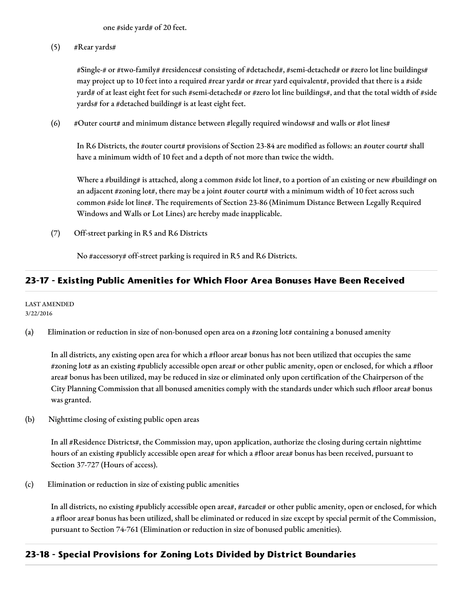one #side yard# of 20 feet.

 $(5)$  #Rear yards#

#Single-# or #two-family# #residences# consisting of #detached#, #semi-detached# or #zero lot line buildings# may project up to 10 feet into a required #rear yard# or #rear yard equivalent#, provided that there is a #side yard# of at least eight feet for such #semi-detached# or #zero lot line buildings#, and that the total width of #side yards# for a #detached building# is at least eight feet.

(6) #Outer court# and minimum distance between #legally required windows# and walls or #lot lines#

In R6 Districts, the #outer court# provisions of Section 23-84 are modified as follows: an #outer court# shall have a minimum width of 10 feet and a depth of not more than twice the width.

Where a #building# is attached, along a common #side lot line#, to a portion of an existing or new #building# on an adjacent #zoning lot#, there may be a joint #outer court# with a minimum width of 10 feet across such common #side lot line#. The requirements of Section 23-86 (Minimum Distance Between Legally Required Windows and Walls or Lot Lines) are hereby made inapplicable.

(7) Off-street parking in R5 and R6 Districts

No #accessory# off-street parking is required in R5 and R6 Districts.

## **23-17 - Existing Public Amenities for Which Floor Area Bonuses Have Been Received**

LAST AMENDED 3/22/2016

(a) Elimination or reduction in size of non-bonused open area on a #zoning lot# containing a bonused amenity

In all districts, any existing open area for which a #floor area# bonus has not been utilized that occupies the same #zoning lot# as an existing #publicly accessible open area# or other public amenity, open or enclosed, for which a #floor area# bonus has been utilized, may be reduced in size or eliminated only upon certification of the Chairperson of the City Planning Commission that all bonused amenities comply with the standards under which such #floor area# bonus was granted.

(b) Nighttime closing of existing public open areas

In all #Residence Districts#, the Commission may, upon application, authorize the closing during certain nighttime hours of an existing #publicly accessible open area# for which a #floor area# bonus has been received, pursuant to Section 37-727 (Hours of access).

(c) Elimination or reduction in size of existing public amenities

In all districts, no existing #publicly accessible open area#, #arcade# or other public amenity, open or enclosed, for which a #floor area# bonus has been utilized, shall be eliminated or reduced in size except by special permit of the Commission, pursuant to Section 74-761 (Elimination or reduction in size of bonused public amenities).

## **23-18 - Special Provisions for Zoning Lots Divided by District Boundaries**